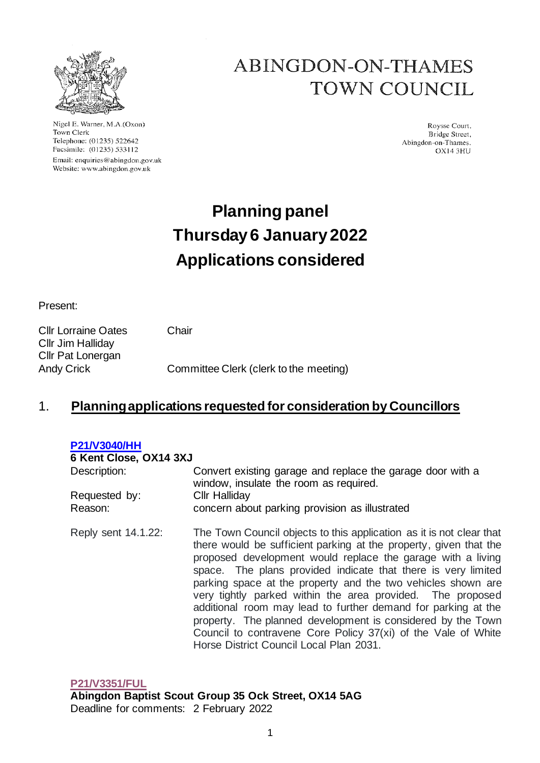

Nigel E. Warner, M.A.(Oxon) Town Clerk Telephone: (01235) 522642 Facsimile: (01235) 533112 Email: enquiries@abingdon.gov.uk Website: www.abingdon.gov.uk

## **ABINGDON-ON-THAMES TOWN COUNCIL**

Roysse Court. Bridge Street, Abingdon-on-Thames. OX14 3HU

# **Planning panel Thursday6 January 2022 Applications considered**

Present:

Cllr Lorraine Oates Chair Cllr Jim Halliday Cllr Pat Lonergan Andy Crick Committee Clerk (clerk to the meeting)

### 1. **Planning applications requested for consideration by Councillors**

| <b>P21/V3040/HH</b>    |                                                                                                                                                                                                                                                                                                                                                                                                                                                                                                                                                                                                                                                     |  |
|------------------------|-----------------------------------------------------------------------------------------------------------------------------------------------------------------------------------------------------------------------------------------------------------------------------------------------------------------------------------------------------------------------------------------------------------------------------------------------------------------------------------------------------------------------------------------------------------------------------------------------------------------------------------------------------|--|
| 6 Kent Close, OX14 3XJ |                                                                                                                                                                                                                                                                                                                                                                                                                                                                                                                                                                                                                                                     |  |
| Description:           | Convert existing garage and replace the garage door with a<br>window, insulate the room as required.                                                                                                                                                                                                                                                                                                                                                                                                                                                                                                                                                |  |
| Requested by:          | <b>CIIr Halliday</b>                                                                                                                                                                                                                                                                                                                                                                                                                                                                                                                                                                                                                                |  |
| Reason:                | concern about parking provision as illustrated                                                                                                                                                                                                                                                                                                                                                                                                                                                                                                                                                                                                      |  |
| Reply sent 14.1.22:    | The Town Council objects to this application as it is not clear that<br>there would be sufficient parking at the property, given that the<br>proposed development would replace the garage with a living<br>space. The plans provided indicate that there is very limited<br>parking space at the property and the two vehicles shown are<br>very tightly parked within the area provided. The proposed<br>additional room may lead to further demand for parking at the<br>property. The planned development is considered by the Town<br>Council to contravene Core Policy 37(xi) of the Vale of White<br>Horse District Council Local Plan 2031. |  |

**[P21/V3351/FUL](https://emea01.safelinks.protection.outlook.com/?url=https%3A%2F%2Fdata.whitehorsedc.gov.uk%2Fjava%2Fsupport%2FMain.jsp%3FMODULE%3DApplicationDetails%26REF%3DP21%2FV3351%2FFUL&data=04%7C01%7C%7Ce6fea000b85b49bb9c5108d9d05d4520%7C84df9e7fe9f640afb435aaaaaaaaaaaa%7C1%7C0%7C637769921285516340%7CUnknown%7CTWFpbGZsb3d8eyJWIjoiMC4wLjAwMDAiLCJQIjoiV2luMzIiLCJBTiI6Ik1haWwiLCJXVCI6Mn0%3D%7C3000&sdata=eTfDep3S8oxg04erESpWY2CXptfHHfpi2ATAZ93Sl6o%3D&reserved=0) Abingdon Baptist Scout Group 35 Ock Street, OX14 5AG** Deadline for comments: 2 February 2022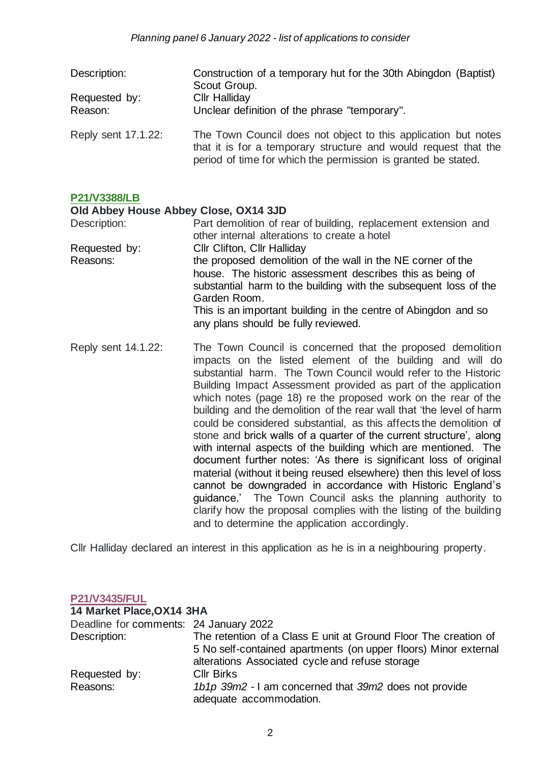| Description:<br>Requested by:<br>Reason: | Construction of a temporary hut for the 30th Abingdon (Baptist)<br>Scout Group.<br><b>Cllr Halliday</b><br>Unclear definition of the phrase "temporary".                                           |
|------------------------------------------|----------------------------------------------------------------------------------------------------------------------------------------------------------------------------------------------------|
| Reply sent 17.1.22:                      | The Town Council does not object to this application but notes<br>that it is for a temporary structure and would request that the<br>period of time for which the permission is granted be stated. |

#### **[P21/V3388/LB](https://data.whitehorsedc.gov.uk/java/support/Main.jsp?MODULE=ApplicationDetails&REF=P21/V3388/LB)**

#### **Old Abbey House Abbey Close, OX14 3JD**

| Description:  | Part demolition of rear of building, replacement extension and<br>other internal alterations to create a hotel                                                                                               |
|---------------|--------------------------------------------------------------------------------------------------------------------------------------------------------------------------------------------------------------|
| Requested by: | Cllr Clifton, Cllr Halliday                                                                                                                                                                                  |
| Reasons:      | the proposed demolition of the wall in the NE corner of the<br>house. The historic assessment describes this as being of<br>substantial harm to the building with the subsequent loss of the<br>Garden Room. |
|               | This is an important building in the centre of Abingdon and so<br>any plans should be fully reviewed.                                                                                                        |

Reply sent 14.1.22: The Town Council is concerned that the proposed demolition impacts on the listed element of the building and will do substantial harm. The Town Council would refer to the Historic Building Impact Assessment provided as part of the application which notes (page 18) re the proposed work on the rear of the building and the demolition of the rear wall that 'the level of harm could be considered substantial, as this affects the demolition of stone and brick walls of a quarter of the current structure', along with internal aspects of the building which are mentioned. The document further notes: 'As there is significant loss of original material (without it being reused elsewhere) then this level of loss cannot be downgraded in accordance with Historic England's guidance.' The Town Council asks the planning authority to clarify how the proposal complies with the listing of the building and to determine the application accordingly.

Cllr Halliday declared an interest in this application as he is in a neighbouring property.

#### **[P21/V3435/FUL](https://data.whitehorsedc.gov.uk/java/support/Main.jsp?MODULE=ApplicationDetails&REF=P21/V3435/FUL)**

| 14 Market Place, OX14 3HA              |                                                                                                                                                                                       |  |
|----------------------------------------|---------------------------------------------------------------------------------------------------------------------------------------------------------------------------------------|--|
| Deadline for comments: 24 January 2022 |                                                                                                                                                                                       |  |
| Description:                           | The retention of a Class E unit at Ground Floor The creation of<br>5 No self-contained apartments (on upper floors) Minor external<br>alterations Associated cycle and refuse storage |  |
| Requested by:                          | <b>Cllr Birks</b>                                                                                                                                                                     |  |
| Reasons:                               | 1b1p 39m2 - I am concerned that 39m2 does not provide<br>adequate accommodation.                                                                                                      |  |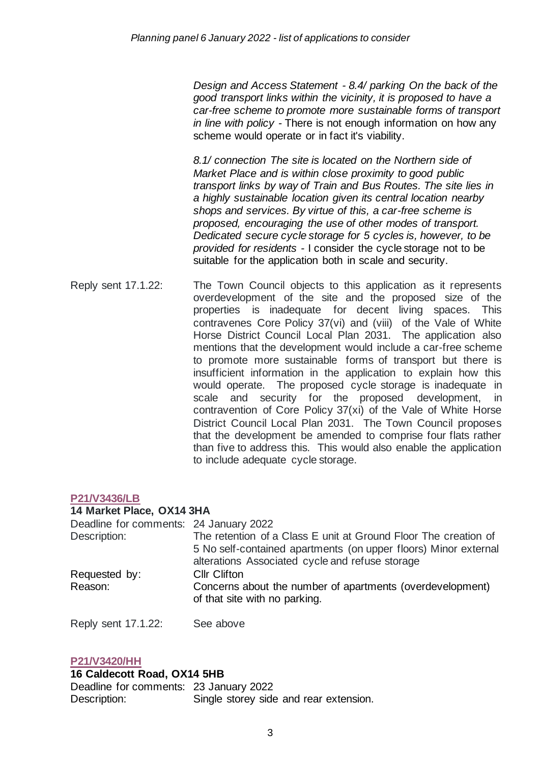*Design and Access Statement - 8.4/ parking On the back of the good transport links within the vicinity, it is proposed to have a car-free scheme to promote more sustainable forms of transport in line with policy -* There is not enough information on how any scheme would operate or in fact it's viability.

*8.1/ connection The site is located on the Northern side of Market Place and is within close proximity to good public transport links by way of Train and Bus Routes. The site lies in a highly sustainable location given its central location nearby shops and services. By virtue of this, a car-free scheme is proposed, encouraging the use of other modes of transport. Dedicated secure cycle storage for 5 cycles is, however, to be provided for residents -* I consider the cycle storage not to be suitable for the application both in scale and security.

Reply sent 17.1.22: The Town Council objects to this application as it represents overdevelopment of the site and the proposed size of the properties is inadequate for decent living spaces. This contravenes Core Policy 37(vi) and (viii) of the Vale of White Horse District Council Local Plan 2031. The application also mentions that the development would include a car-free scheme to promote more sustainable forms of transport but there is insufficient information in the application to explain how this would operate. The proposed cycle storage is inadequate in scale and security for the proposed development, in contravention of Core Policy 37(xi) of the Vale of White Horse District Council Local Plan 2031. The Town Council proposes that the development be amended to comprise four flats rather than five to address this. This would also enable the application to include adequate cycle storage.

#### **[P21/V3436/LB](https://data.whitehorsedc.gov.uk/java/support/Main.jsp?MODULE=ApplicationDetails&REF=P21/V3436/LB)**

#### **14 Market Place, OX14 3HA**

| Deadline for comments: 24 January 2022 |                                                                                                                    |
|----------------------------------------|--------------------------------------------------------------------------------------------------------------------|
| Description:                           | The retention of a Class E unit at Ground Floor The creation of                                                    |
|                                        | 5 No self-contained apartments (on upper floors) Minor external<br>alterations Associated cycle and refuse storage |
| Requested by:                          | <b>Cllr Clifton</b>                                                                                                |
| Reason:                                | Concerns about the number of apartments (overdevelopment)<br>of that site with no parking.                         |
|                                        |                                                                                                                    |

Reply sent 17.1.22: See above

#### **[P21/V3420/HH](https://emea01.safelinks.protection.outlook.com/?url=https%3A%2F%2Fdata.whitehorsedc.gov.uk%2Fjava%2Fsupport%2FMain.jsp%3FMODULE%3DApplicationDetails%26REF%3DP21%2FV3420%2FHH&data=04%7C01%7C%7Ce6fea000b85b49bb9c5108d9d05d4520%7C84df9e7fe9f640afb435aaaaaaaaaaaa%7C1%7C0%7C637769921285536330%7CUnknown%7CTWFpbGZsb3d8eyJWIjoiMC4wLjAwMDAiLCJQIjoiV2luMzIiLCJBTiI6Ik1haWwiLCJXVCI6Mn0%3D%7C3000&sdata=5uASVJ4PLgZzndkZIEKtXeESljgJJNDMM64GiLvUcrI%3D&reserved=0)**

#### **16 Caldecott Road, OX14 5HB**

Deadline for comments: 23 January 2022 Description: Single storey side and rear extension.